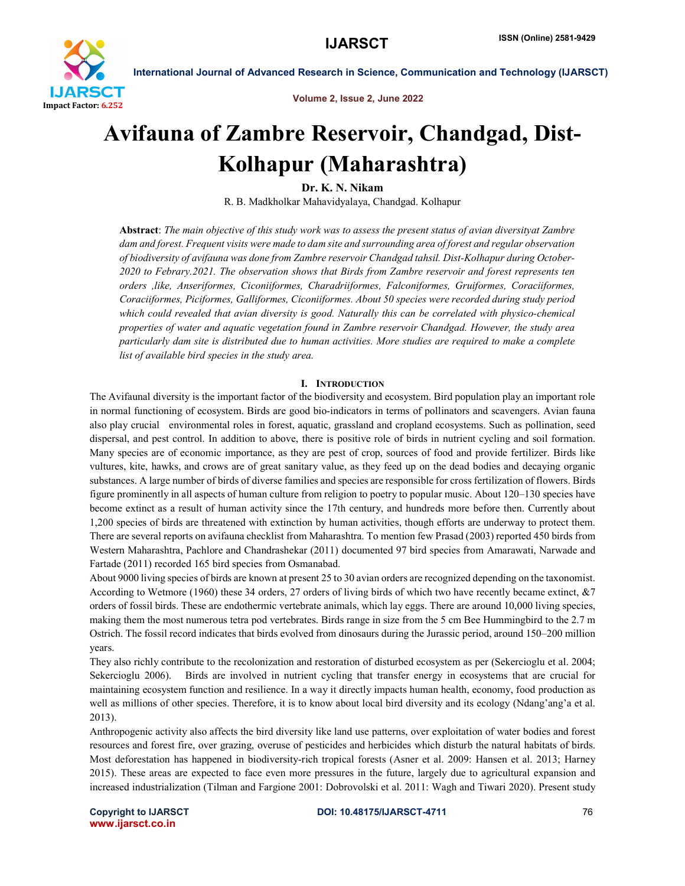

Volume 2, Issue 2, June 2022

# Avifauna of Zambre Reservoir, Chandgad, Dist-Kolhapur (Maharashtra)

Dr. K. N. Nikam

R. B. Madkholkar Mahavidyalaya, Chandgad. Kolhapur

Abstract: *The main objective of this study work was to assess the present status of avian diversityat Zambre dam and forest. Frequent visits were made to dam site and surrounding area of forest and regular observation of biodiversity of avifauna was done from Zambre reservoir Chandgad tahsil. Dist-Kolhapur during October-2020 to Febrary.2021. The observation shows that Birds from Zambre reservoir and forest represents ten orders ,like, Anseriformes, Ciconiiformes, Charadriiformes, Falconiformes, Gruiformes, Coraciiformes, Coraciiformes, Piciformes, Galliformes, Ciconiiformes. About 50 species were recorded during study period which could revealed that avian diversity is good. Naturally this can be correlated with physico-chemical properties of water and aquatic vegetation found in Zambre reservoir Chandgad. However, the study area particularly dam site is distributed due to human activities. More studies are required to make a complete list of available bird species in the study area.*

## I. INTRODUCTION

The Avifaunal diversity is the important factor of the biodiversity and ecosystem. Bird population play an important role in normal functioning of ecosystem. Birds are good bio-indicators in terms of pollinators and scavengers. Avian fauna also play crucial environmental roles in forest, aquatic, grassland and cropland ecosystems. Such as pollination, seed dispersal, and pest control. In addition to above, there is positive role of birds in nutrient cycling and soil formation. Many species are of economic importance, as they are pest of crop, sources of food and provide fertilizer. Birds like vultures, kite, hawks, and crows are of great sanitary value, as they feed up on the dead bodies and decaying organic substances. A large number of birds of diverse families and species are responsible for cross fertilization of flowers. Birds figure prominently in all aspects of human culture from religion to poetry to popular music. About 120–130 species have become extinct as a result of human activity since the 17th century, and hundreds more before then. Currently about 1,200 species of birds are threatened with extinction by human activities, though efforts are underway to protect them. There are several reports on avifauna checklist from Maharashtra. To mention few Prasad (2003) reported 450 birds from Western Maharashtra, Pachlore and Chandrashekar (2011) documented 97 bird species from Amarawati, Narwade and Fartade (2011) recorded 165 bird species from Osmanabad.

About 9000 living species of birds are known at present 25 to 30 avian orders are recognized depending on the taxonomist. According to Wetmore (1960) these 34 orders, 27 orders of living birds of which two have recently became extinct, &7 orders of fossil birds. These are endothermic vertebrate animals, which lay eggs. There are around 10,000 living species, making them the most numerous tetra pod vertebrates. Birds range in size from the 5 cm Bee Hummingbird to the 2.7 m Ostrich. The fossil record indicates that birds evolved from dinosaurs during the Jurassic period, around 150–200 million years.

They also richly contribute to the recolonization and restoration of disturbed ecosystem as per (Sekercioglu et al. 2004; Sekercioglu 2006). Birds are involved in nutrient cycling that transfer energy in ecosystems that are crucial for maintaining ecosystem function and resilience. In a way it directly impacts human health, economy, food production as well as millions of other species. Therefore, it is to know about local bird diversity and its ecology (Ndang'ang'a et al. 2013).

Anthropogenic activity also affects the bird diversity like land use patterns, over exploitation of water bodies and forest resources and forest fire, over grazing, overuse of pesticides and herbicides which disturb the natural habitats of birds. Most deforestation has happened in biodiversity-rich tropical forests (Asner et al. 2009: Hansen et al. 2013; Harney 2015). These areas are expected to face even more pressures in the future, largely due to agricultural expansion and increased industrialization (Tilman and Fargione 2001: Dobrovolski et al. 2011: Wagh and Tiwari 2020). Present study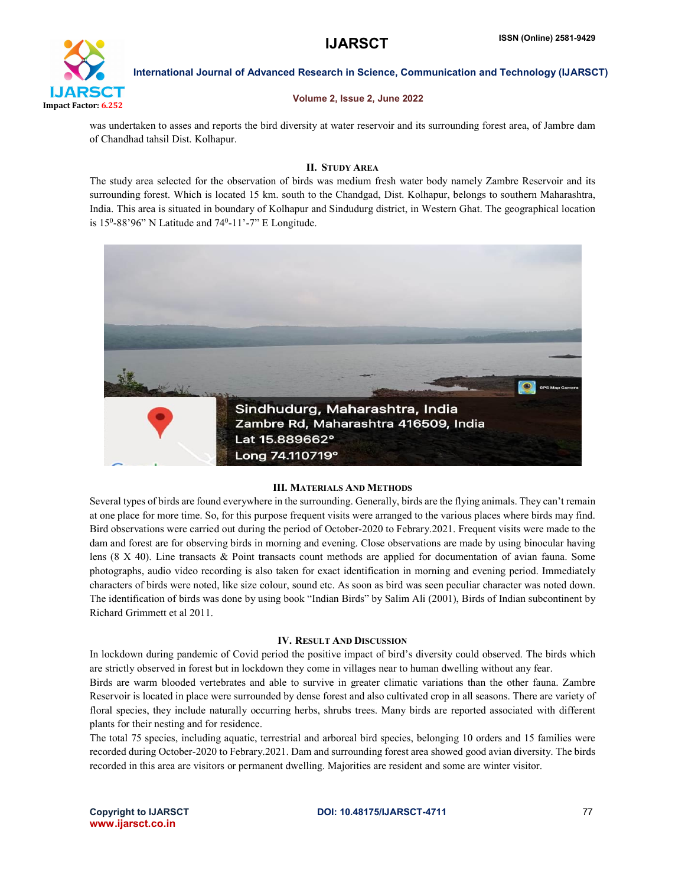

## Volume 2, Issue 2, June 2022

was undertaken to asses and reports the bird diversity at water reservoir and its surrounding forest area, of Jambre dam of Chandhad tahsil Dist. Kolhapur.

## II. STUDY AREA

The study area selected for the observation of birds was medium fresh water body namely Zambre Reservoir and its surrounding forest. Which is located 15 km. south to the Chandgad, Dist. Kolhapur, belongs to southern Maharashtra, India. This area is situated in boundary of Kolhapur and Sindudurg district, in Western Ghat. The geographical location is  $15^0$ -88'96" N Latitude and  $74^0$ -11'-7" E Longitude.



## III. MATERIALS AND METHODS

Several types of birds are found everywhere in the surrounding. Generally, birds are the flying animals. They can't remain at one place for more time. So, for this purpose frequent visits were arranged to the various places where birds may find. Bird observations were carried out during the period of October-2020 to Febrary.2021. Frequent visits were made to the dam and forest are for observing birds in morning and evening. Close observations are made by using binocular having lens (8 X 40). Line transacts & Point transacts count methods are applied for documentation of avian fauna. Some photographs, audio video recording is also taken for exact identification in morning and evening period. Immediately characters of birds were noted, like size colour, sound etc. As soon as bird was seen peculiar character was noted down. The identification of birds was done by using book "Indian Birds" by Salim Ali (2001), Birds of Indian subcontinent by Richard Grimmett et al 2011.

## IV. RESULT AND DISCUSSION

In lockdown during pandemic of Covid period the positive impact of bird's diversity could observed. The birds which are strictly observed in forest but in lockdown they come in villages near to human dwelling without any fear.

Birds are warm blooded vertebrates and able to survive in greater climatic variations than the other fauna. Zambre Reservoir is located in place were surrounded by dense forest and also cultivated crop in all seasons. There are variety of floral species, they include naturally occurring herbs, shrubs trees. Many birds are reported associated with different plants for their nesting and for residence.

The total 75 species, including aquatic, terrestrial and arboreal bird species, belonging 10 orders and 15 families were recorded during October-2020 to Febrary.2021. Dam and surrounding forest area showed good avian diversity. The birds recorded in this area are visitors or permanent dwelling. Majorities are resident and some are winter visitor.

www.ijarsct.co.in

## Copyright to IJARSCT **DOI: 10.48175/IJARSCT-4711** 77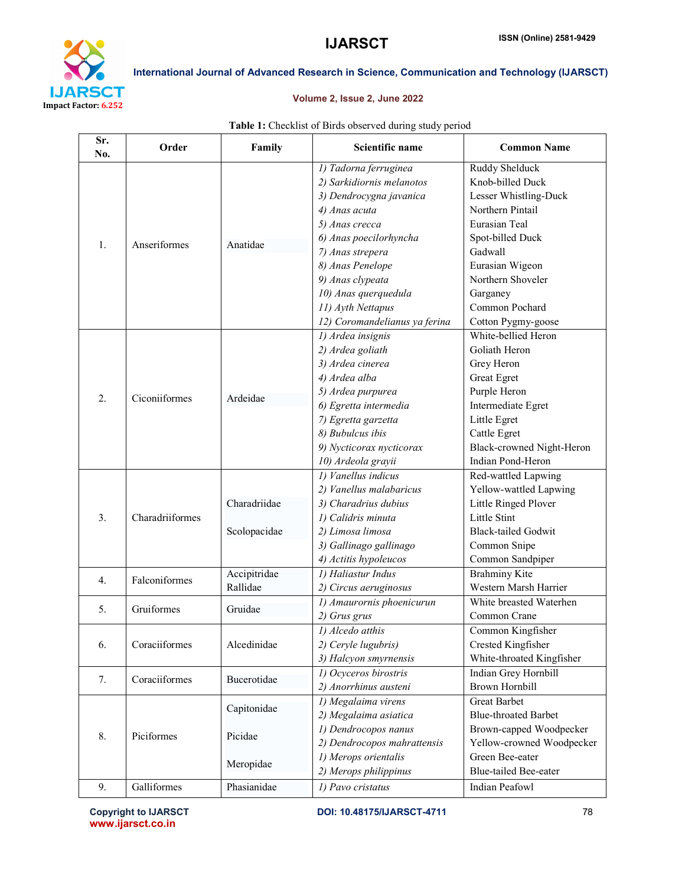

## Volume 2, Issue 2, June 2022

| Sr.<br>No. | Order           | Family                              | Scientific name                                                                                                                                                                                                                                                                      | <b>Common Name</b>                                                                                                                                                                                                                 |
|------------|-----------------|-------------------------------------|--------------------------------------------------------------------------------------------------------------------------------------------------------------------------------------------------------------------------------------------------------------------------------------|------------------------------------------------------------------------------------------------------------------------------------------------------------------------------------------------------------------------------------|
| 1.         | Anseriformes    | Anatidae                            | 1) Tadorna ferruginea<br>2) Sarkidiornis melanotos<br>3) Dendrocygna javanica<br>4) Anas acuta<br>5) Anas crecca<br>6) Anas poecilorhyncha<br>7) Anas strepera<br>8) Anas Penelope<br>9) Anas clypeata<br>10) Anas querquedula<br>11) Ayth Nettapus<br>12) Coromandelianus ya ferina | <b>Ruddy Shelduck</b><br>Knob-billed Duck<br>Lesser Whistling-Duck<br>Northern Pintail<br>Eurasian Teal<br>Spot-billed Duck<br>Gadwall<br>Eurasian Wigeon<br>Northern Shoveler<br>Garganey<br>Common Pochard<br>Cotton Pygmy-goose |
| 2.         | Ciconiiformes   | Ardeidae                            | 1) Ardea insignis<br>2) Ardea goliath<br>3) Ardea cinerea<br>4) Ardea alba<br>5) Ardea purpurea<br>6) Egretta intermedia<br>7) Egretta garzetta<br>8) Bubulcus ibis<br>9) Nycticorax nycticorax<br>10) Ardeola grayii                                                                | White-bellied Heron<br>Goliath Heron<br>Grey Heron<br><b>Great Egret</b><br>Purple Heron<br>Intermediate Egret<br>Little Egret<br>Cattle Egret<br>Black-crowned Night-Heron<br>Indian Pond-Heron                                   |
| 3.         | Charadriiformes | Charadriidae<br>Scolopacidae        | 1) Vanellus indicus<br>2) Vanellus malabaricus<br>3) Charadrius dubius<br>1) Calidris minuta<br>2) Limosa limosa<br>3) Gallinago gallinago<br>4) Actitis hypoleucos                                                                                                                  | Red-wattled Lapwing<br>Yellow-wattled Lapwing<br>Little Ringed Plover<br><b>Little Stint</b><br><b>Black-tailed Godwit</b><br>Common Snipe<br>Common Sandpiper                                                                     |
| 4.         | Falconiformes   | Accipitridae<br>Rallidae            | 1) Haliastur Indus<br>2) Circus aeruginosus                                                                                                                                                                                                                                          | <b>Brahminy Kite</b><br>Western Marsh Harrier                                                                                                                                                                                      |
| 5.         | Gruiformes      | Gruidae                             | 1) Amaurornis phoenicurun<br>2) Grus grus                                                                                                                                                                                                                                            | White breasted Waterhen<br>Common Crane                                                                                                                                                                                            |
| 6.         | Coraciiformes   | Alcedinidae                         | 1) Alcedo atthis<br>2) Ceryle lugubris)<br>3) Halcyon smyrnensis                                                                                                                                                                                                                     | Common Kingfisher<br>Crested Kingfisher<br>White-throated Kingfisher                                                                                                                                                               |
| 7.         | Coraciiformes   | Bucerotidae                         | 1) Ocyceros birostris<br>2) Anorrhinus austeni                                                                                                                                                                                                                                       | Indian Grey Hornbill<br><b>Brown Hornbill</b>                                                                                                                                                                                      |
| 8.         | Piciformes      | Capitonidae<br>Picidae<br>Meropidae | 1) Megalaima virens<br>2) Megalaima asiatica<br>1) Dendrocopos nanus<br>2) Dendrocopos mahrattensis<br>1) Merops orientalis<br>2) Merops philippinus                                                                                                                                 | <b>Great Barbet</b><br><b>Blue-throated Barbet</b><br>Brown-capped Woodpecker<br>Yellow-crowned Woodpecker<br>Green Bee-eater<br><b>Blue-tailed Bee-eater</b>                                                                      |
| 9.         | Galliformes     | Phasianidae                         | 1) Pavo cristatus                                                                                                                                                                                                                                                                    | Indian Peafowl                                                                                                                                                                                                                     |

## Table 1: Checklist of Birds observed during study period

www.ijarsct.co.in

Copyright to IJARSCT **DOI: 10.48175/IJARSCT-4711** 78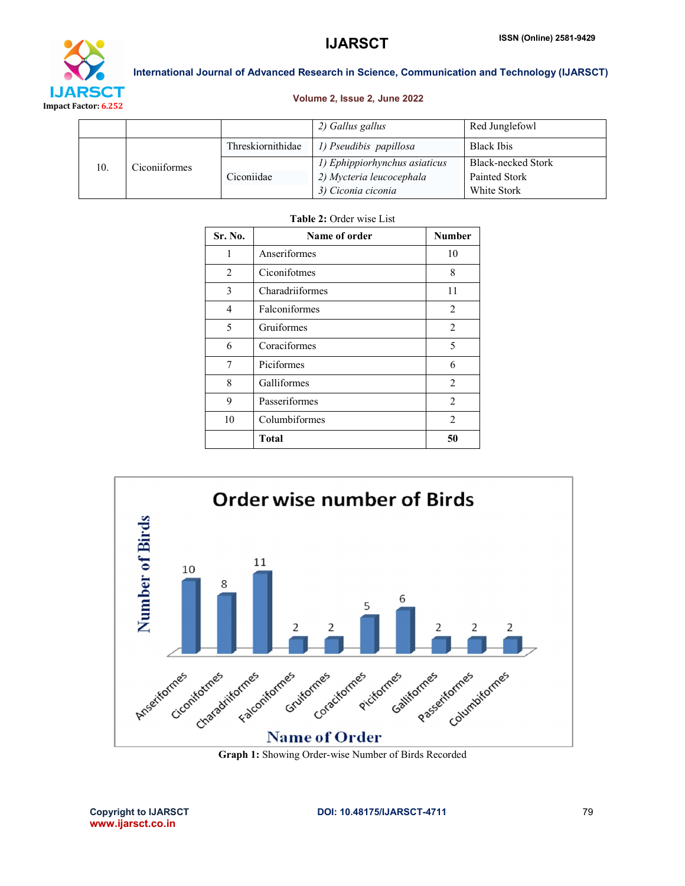

## Volume 2, Issue 2, June 2022

|     |               |                   | 2) Gallus gallus              | Red Junglefowl     |
|-----|---------------|-------------------|-------------------------------|--------------------|
| 10. | Ciconiiformes | Threskiornithidae | 1) Pseudibis papillosa        | <b>Black Ibis</b>  |
|     |               |                   | 1) Ephippiorhynchus asiaticus | Black-necked Stork |
|     |               | Ciconiidae        | 2) Mycteria leucocephala      | Painted Stork      |
|     |               |                   | 3) Ciconia ciconia            | White Stork        |

## Table 2: Order wise List

| Sr. No.        | Name of order   | <b>Number</b>  |
|----------------|-----------------|----------------|
| 1              | Anseriformes    | 10             |
| $\overline{2}$ | Ciconifotmes    | 8              |
| 3              | Charadriiformes | 11             |
| 4              | Falconiformes   | $\overline{2}$ |
| 5              | Gruiformes      | 2              |
| 6              | Coraciformes    | 5              |
| 7              | Piciformes      | 6              |
| 8              | Galliformes     | 2              |
| 9              | Passeriformes   | 2              |
| 10             | Columbiformes   | 2              |
|                | Total           | 50             |



Graph 1: Showing Order-wise Number of Birds Recorded

www.ijarsct.co.in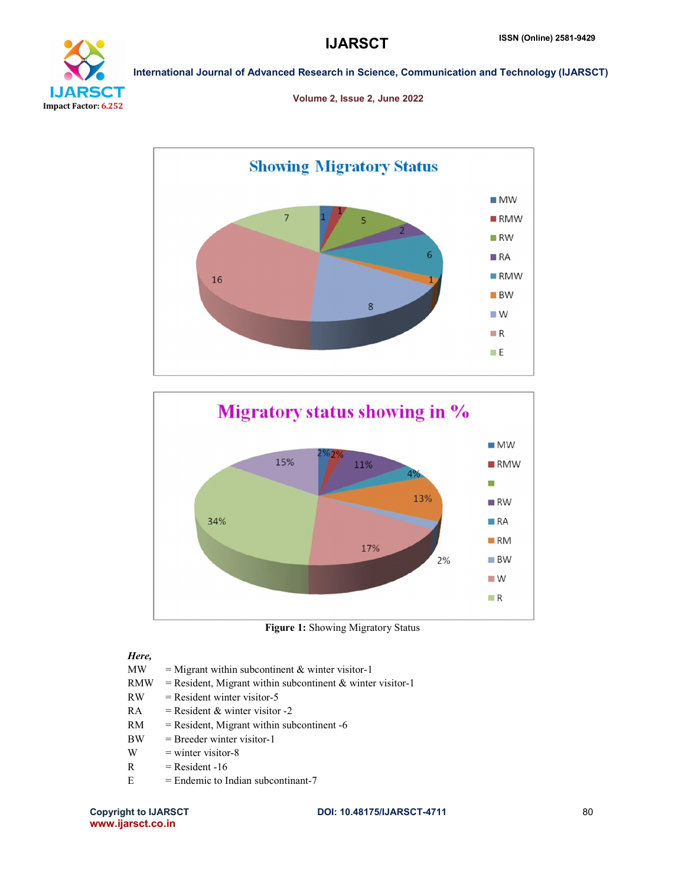

Volume 2, Issue 2, June 2022





Figure 1: Showing Migratory Status

## *Here,*

- $MW = Migrant$  within subcontinent & winter visitor-1
- $RMW = Resident, Migrant within subcontinent & winter visitor-1$
- $RW =$  Resident winter visitor-5
- RA = Resident & winter visitor  $-2$
- $RM$  = Resident, Migrant within subcontinent -6
- BW = Breeder winter visitor-1
- $W =$  winter visitor-8
- $R =$  Resident -16
- $E =$  Endemic to Indian subcontinant-7